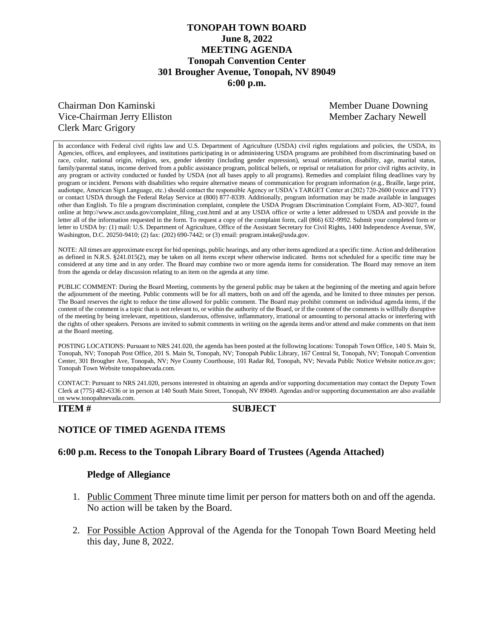# **TONOPAH TOWN BOARD June 8, 2022 MEETING AGENDA Tonopah Convention Center 301 Brougher Avenue, Tonopah, NV 89049 6:00 p.m.**

# Chairman Don Kaminski Member Duane Downing Vice-Chairman Jerry Elliston Member Zachary Newell Clerk Marc Grigory

In accordance with Federal civil rights law and U.S. Department of Agriculture (USDA) civil rights regulations and policies, the USDA, its Agencies, offices, and employees, and institutions participating in or administering USDA programs are prohibited from discriminating based on race, color, national origin, religion, sex, gender identity (including gender expression), sexual orientation, disability, age, marital status, family/parental status, income derived from a public assistance program, political beliefs, or reprisal or retaliation for prior civil rights activity, in any program or activity conducted or funded by USDA (not all bases apply to all programs). Remedies and complaint filing deadlines vary by program or incident. Persons with disabilities who require alternative means of communication for program information (e.g., Braille, large print, audiotape, American Sign Language, etc.) should contact the responsible Agency or USDA's TARGET Center at (202) 720-2600 (voice and TTY) or contact USDA through the Federal Relay Service at (800) 877-8339. Additionally, program information may be made available in languages other than English. To file a program discrimination complaint, complete the USDA Program Discrimination Complaint Form, AD-3027, found online at http://www.ascr.usda.gov/complaint\_filing\_cust.html and at any USDA office or write a letter addressed to USDA and provide in the letter all of the information requested in the form. To request a copy of the complaint form, call (866) 632-9992. Submit your completed form or letter to USDA by: (1) mail: U.S. Department of Agriculture, Office of the Assistant Secretary for Civil Rights, 1400 Independence Avenue, SW, Washington, D.C. 20250-9410; (2) fax: (202) 690-7442; or (3) email: program.intake@usda.gov.

NOTE: All times are approximate except for bid openings, public hearings, and any other items agendized at a specific time. Action and deliberation as defined in N.R.S. §241.015(2), may be taken on all items except where otherwise indicated. Items not scheduled for a specific time may be considered at any time and in any order. The Board may combine two or more agenda items for consideration. The Board may remove an item from the agenda or delay discussion relating to an item on the agenda at any time.

PUBLIC COMMENT: During the Board Meeting, comments by the general public may be taken at the beginning of the meeting and again before the adjournment of the meeting. Public comments will be for all matters, both on and off the agenda, and be limited to three minutes per person. The Board reserves the right to reduce the time allowed for public comment. The Board may prohibit comment on individual agenda items, if the content of the comment is a topic that is not relevant to, or within the authority of the Board, or if the content of the comments is willfully disruptive of the meeting by being irrelevant, repetitious, slanderous, offensive, inflammatory, irrational or amounting to personal attacks or interfering with the rights of other speakers. Persons are invited to submit comments in writing on the agenda items and/or attend and make comments on that item at the Board meeting.

POSTING LOCATIONS: Pursuant to NRS 241.020, the agenda has been posted at the following locations: Tonopah Town Office, 140 S. Main St, Tonopah, NV; Tonopah Post Office, 201 S. Main St, Tonopah, NV; Tonopah Public Library, 167 Central St, Tonopah, NV; Tonopah Convention Center, 301 Brougher Ave, Tonopah, NV; Nye County Courthouse, 101 Radar Rd, Tonopah, NV; Nevada Public Notice Website notice.nv.gov; Tonopah Town Website tonopahnevada.com.

CONTACT: Pursuant to NRS 241.020, persons interested in obtaining an agenda and/or supporting documentation may contact the Deputy Town Clerk at (775) 482-6336 or in person at 140 South Main Street, Tonopah, NV 89049. Agendas and/or supporting documentation are also available on www.tonopahnevada.com.

## **ITEM # SUBJECT**

# **NOTICE OF TIMED AGENDA ITEMS**

## **6:00 p.m. Recess to the Tonopah Library Board of Trustees (Agenda Attached)**

#### **Pledge of Allegiance**

- 1. Public Comment Three minute time limit per person for matters both on and off the agenda. No action will be taken by the Board.
- 2. For Possible Action Approval of the Agenda for the Tonopah Town Board Meeting held this day, June 8, 2022.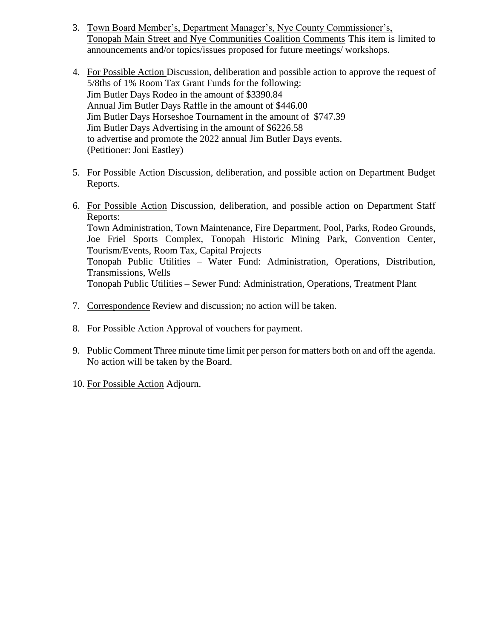- 3. Town Board Member's, Department Manager's, Nye County Commissioner's, Tonopah Main Street and Nye Communities Coalition Comments This item is limited to announcements and/or topics/issues proposed for future meetings/ workshops.
- 4. For Possible Action Discussion, deliberation and possible action to approve the request of 5/8ths of 1% Room Tax Grant Funds for the following: Jim Butler Days Rodeo in the amount of \$3390.84 Annual Jim Butler Days Raffle in the amount of \$446.00 Jim Butler Days Horseshoe Tournament in the amount of \$747.39 Jim Butler Days Advertising in the amount of \$6226.58 to advertise and promote the 2022 annual Jim Butler Days events. (Petitioner: Joni Eastley)
- 5. For Possible Action Discussion, deliberation, and possible action on Department Budget Reports.
- 6. For Possible Action Discussion, deliberation, and possible action on Department Staff Reports: Town Administration, Town Maintenance, Fire Department, Pool, Parks, Rodeo Grounds, Joe Friel Sports Complex, Tonopah Historic Mining Park, Convention Center, Tourism/Events, Room Tax, Capital Projects Tonopah Public Utilities – Water Fund: Administration, Operations, Distribution, Transmissions, Wells Tonopah Public Utilities – Sewer Fund: Administration, Operations, Treatment Plant
- 7. Correspondence Review and discussion; no action will be taken.
- 8. For Possible Action Approval of vouchers for payment.
- 9. Public Comment Three minute time limit per person for matters both on and off the agenda. No action will be taken by the Board.
- 10. For Possible Action Adjourn.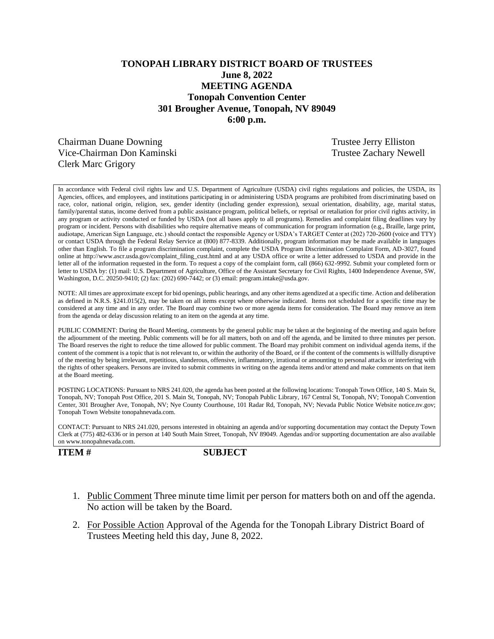# **TONOPAH LIBRARY DISTRICT BOARD OF TRUSTEES June 8, 2022 MEETING AGENDA Tonopah Convention Center 301 Brougher Avenue, Tonopah, NV 89049 6:00 p.m.**

Chairman Duane Downing Trustee Jerry Elliston Vice-Chairman Don Kaminski Newell and Trustee Zachary Newell Clerk Marc Grigory

In accordance with Federal civil rights law and U.S. Department of Agriculture (USDA) civil rights regulations and policies, the USDA, its Agencies, offices, and employees, and institutions participating in or administering USDA programs are prohibited from discriminating based on race, color, national origin, religion, sex, gender identity (including gender expression), sexual orientation, disability, age, marital status, family/parental status, income derived from a public assistance program, political beliefs, or reprisal or retaliation for prior civil rights activity, in any program or activity conducted or funded by USDA (not all bases apply to all programs). Remedies and complaint filing deadlines vary by program or incident. Persons with disabilities who require alternative means of communication for program information (e.g., Braille, large print, audiotape, American Sign Language, etc.) should contact the responsible Agency or USDA's TARGET Center at (202) 720-2600 (voice and TTY) or contact USDA through the Federal Relay Service at (800) 877-8339. Additionally, program information may be made available in languages other than English. To file a program discrimination complaint, complete the USDA Program Discrimination Complaint Form, AD-3027, found online at http://www.ascr.usda.gov/complaint\_filing\_cust.html and at any USDA office or write a letter addressed to USDA and provide in the letter all of the information requested in the form. To request a copy of the complaint form, call (866) 632-9992. Submit your completed form or letter to USDA by: (1) mail: U.S. Department of Agriculture, Office of the Assistant Secretary for Civil Rights, 1400 Independence Avenue, SW, Washington, D.C. 20250-9410; (2) fax: (202) 690-7442; or (3) email: program.intake@usda.gov.

NOTE: All times are approximate except for bid openings, public hearings, and any other items agendized at a specific time. Action and deliberation as defined in N.R.S. §241.015(2), may be taken on all items except where otherwise indicated. Items not scheduled for a specific time may be considered at any time and in any order. The Board may combine two or more agenda items for consideration. The Board may remove an item from the agenda or delay discussion relating to an item on the agenda at any time.

PUBLIC COMMENT: During the Board Meeting, comments by the general public may be taken at the beginning of the meeting and again before the adjournment of the meeting. Public comments will be for all matters, both on and off the agenda, and be limited to three minutes per person. The Board reserves the right to reduce the time allowed for public comment. The Board may prohibit comment on individual agenda items, if the content of the comment is a topic that is not relevant to, or within the authority of the Board, or if the content of the comments is willfully disruptive of the meeting by being irrelevant, repetitious, slanderous, offensive, inflammatory, irrational or amounting to personal attacks or interfering with the rights of other speakers. Persons are invited to submit comments in writing on the agenda items and/or attend and make comments on that item at the Board meeting.

POSTING LOCATIONS: Pursuant to NRS 241.020, the agenda has been posted at the following locations: Tonopah Town Office, 140 S. Main St, Tonopah, NV; Tonopah Post Office, 201 S. Main St, Tonopah, NV; Tonopah Public Library, 167 Central St, Tonopah, NV; Tonopah Convention Center, 301 Brougher Ave, Tonopah, NV; Nye County Courthouse, 101 Radar Rd, Tonopah, NV; Nevada Public Notice Website notice.nv.gov; Tonopah Town Website tonopahnevada.com.

CONTACT: Pursuant to NRS 241.020, persons interested in obtaining an agenda and/or supporting documentation may contact the Deputy Town Clerk at (775) 482-6336 or in person at 140 South Main Street, Tonopah, NV 89049. Agendas and/or supporting documentation are also available on www.tonopahnevada.com.

**ITEM # SUBJECT**

- 1. Public Comment Three minute time limit per person for matters both on and off the agenda. No action will be taken by the Board.
- 2. For Possible Action Approval of the Agenda for the Tonopah Library District Board of Trustees Meeting held this day, June 8, 2022.